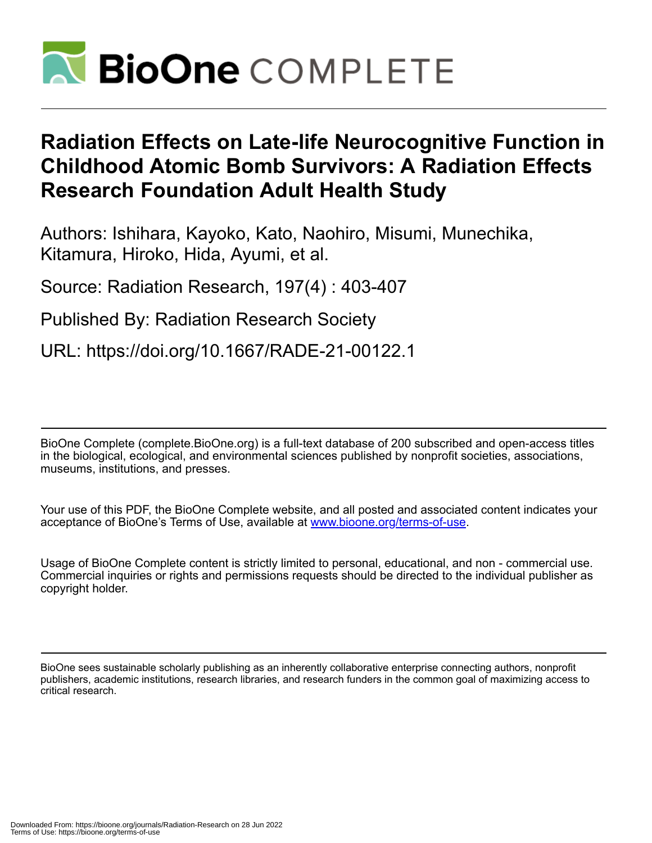

# **Radiation Effects on Late-life Neurocognitive Function in Childhood Atomic Bomb Survivors: A Radiation Effects Research Foundation Adult Health Study**

Authors: Ishihara, Kayoko, Kato, Naohiro, Misumi, Munechika, Kitamura, Hiroko, Hida, Ayumi, et al.

Source: Radiation Research, 197(4) : 403-407

Published By: Radiation Research Society

URL: https://doi.org/10.1667/RADE-21-00122.1

BioOne Complete (complete.BioOne.org) is a full-text database of 200 subscribed and open-access titles in the biological, ecological, and environmental sciences published by nonprofit societies, associations, museums, institutions, and presses.

Your use of this PDF, the BioOne Complete website, and all posted and associated content indicates your acceptance of BioOne's Terms of Use, available at www.bioone.org/terms-of-use.

Usage of BioOne Complete content is strictly limited to personal, educational, and non - commercial use. Commercial inquiries or rights and permissions requests should be directed to the individual publisher as copyright holder.

BioOne sees sustainable scholarly publishing as an inherently collaborative enterprise connecting authors, nonprofit publishers, academic institutions, research libraries, and research funders in the common goal of maximizing access to critical research.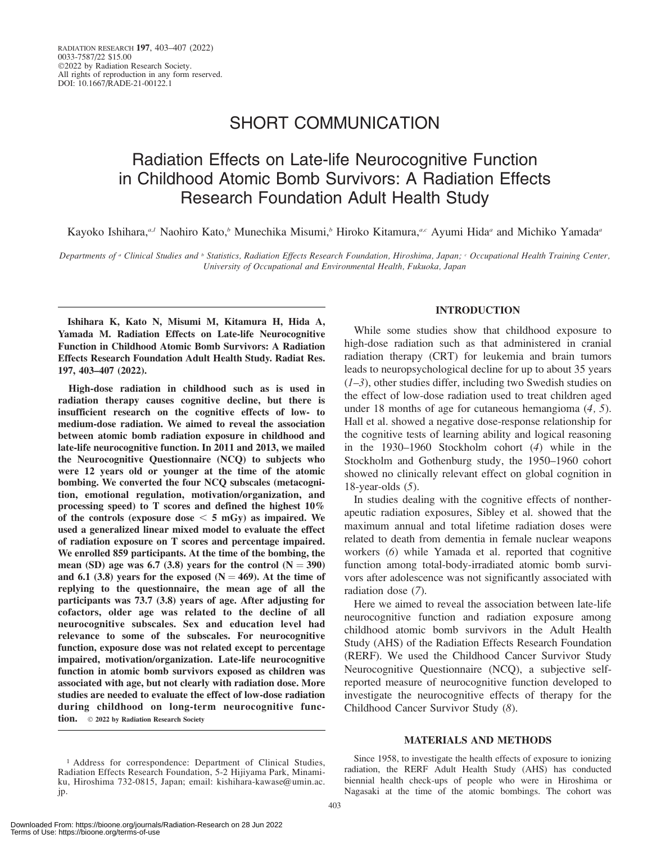### SHORT COMMUNICATION

## Radiation Effects on Late-life Neurocognitive Function in Childhood Atomic Bomb Survivors: A Radiation Effects Research Foundation Adult Health Study

Kayoko Ishihara,<sup>a,1</sup> Naohiro Kato,<sup>b</sup> Munechika Misumi,b Hiroko Kitamura,<sup>a,c</sup> Ayumi Hida<sup>a</sup> and Michiko Yamada<sup>a</sup>

Departments of <sup>a</sup> Clinical Studies and <sup>b</sup> Statistics, Radiation Effects Research Foundation, Hiroshima, Japan; <sup>c</sup> Occupational Health Training Center, University of Occupational and Environmental Health, Fukuoka, Japan

Ishihara K, Kato N, Misumi M, Kitamura H, Hida A, Yamada M. Radiation Effects on Late-life Neurocognitive Function in Childhood Atomic Bomb Survivors: A Radiation Effects Research Foundation Adult Health Study. Radiat Res. 197, 403–407 (2022).

High-dose radiation in childhood such as is used in radiation therapy causes cognitive decline, but there is insufficient research on the cognitive effects of low- to medium-dose radiation. We aimed to reveal the association between atomic bomb radiation exposure in childhood and late-life neurocognitive function. In 2011 and 2013, we mailed the Neurocognitive Questionnaire (NCQ) to subjects who were 12 years old or younger at the time of the atomic bombing. We converted the four NCQ subscales (metacognition, emotional regulation, motivation/organization, and processing speed) to T scores and defined the highest 10% of the controls (exposure dose  $< 5$  mGy) as impaired. We used a generalized linear mixed model to evaluate the effect of radiation exposure on T scores and percentage impaired. We enrolled 859 participants. At the time of the bombing, the mean (SD) age was 6.7 (3.8) years for the control  $(N = 390)$ and 6.1 (3.8) years for the exposed ( $N = 469$ ). At the time of replying to the questionnaire, the mean age of all the participants was 73.7 (3.8) years of age. After adjusting for cofactors, older age was related to the decline of all neurocognitive subscales. Sex and education level had relevance to some of the subscales. For neurocognitive function, exposure dose was not related except to percentage impaired, motivation/organization. Late-life neurocognitive function in atomic bomb survivors exposed as children was associated with age, but not clearly with radiation dose. More studies are needed to evaluate the effect of low-dose radiation during childhood on long-term neurocognitive function.  $\circ$  2022 by Radiation Research Society

### INTRODUCTION

While some studies show that childhood exposure to high-dose radiation such as that administered in cranial radiation therapy (CRT) for leukemia and brain tumors leads to neuropsychological decline for up to about 35 years  $(1-3)$ , other studies differ, including two Swedish studies on the effect of low-dose radiation used to treat children aged under 18 months of age for cutaneous hemangioma (4, 5). Hall et al. showed a negative dose-response relationship for the cognitive tests of learning ability and logical reasoning in the 1930–1960 Stockholm cohort (4) while in the Stockholm and Gothenburg study, the 1950–1960 cohort showed no clinically relevant effect on global cognition in 18-year-olds (5).

In studies dealing with the cognitive effects of nontherapeutic radiation exposures, Sibley et al. showed that the maximum annual and total lifetime radiation doses were related to death from dementia in female nuclear weapons workers (6) while Yamada et al. reported that cognitive function among total-body-irradiated atomic bomb survivors after adolescence was not significantly associated with radiation dose (7).

Here we aimed to reveal the association between late-life neurocognitive function and radiation exposure among childhood atomic bomb survivors in the Adult Health Study (AHS) of the Radiation Effects Research Foundation (RERF). We used the Childhood Cancer Survivor Study Neurocognitive Questionnaire (NCQ), a subjective selfreported measure of neurocognitive function developed to investigate the neurocognitive effects of therapy for the Childhood Cancer Survivor Study (8).

#### MATERIALS AND METHODS

Since 1958, to investigate the health effects of exposure to ionizing radiation, the RERF Adult Health Study (AHS) has conducted biennial health check-ups of people who were in Hiroshima or Nagasaki at the time of the atomic bombings. The cohort was

<sup>&</sup>lt;sup>1</sup> Address for correspondence: Department of Clinical Studies, Radiation Effects Research Foundation, 5-2 Hijiyama Park, Minamiku, Hiroshima 732-0815, Japan; email: kishihara-kawase@umin.ac. jp.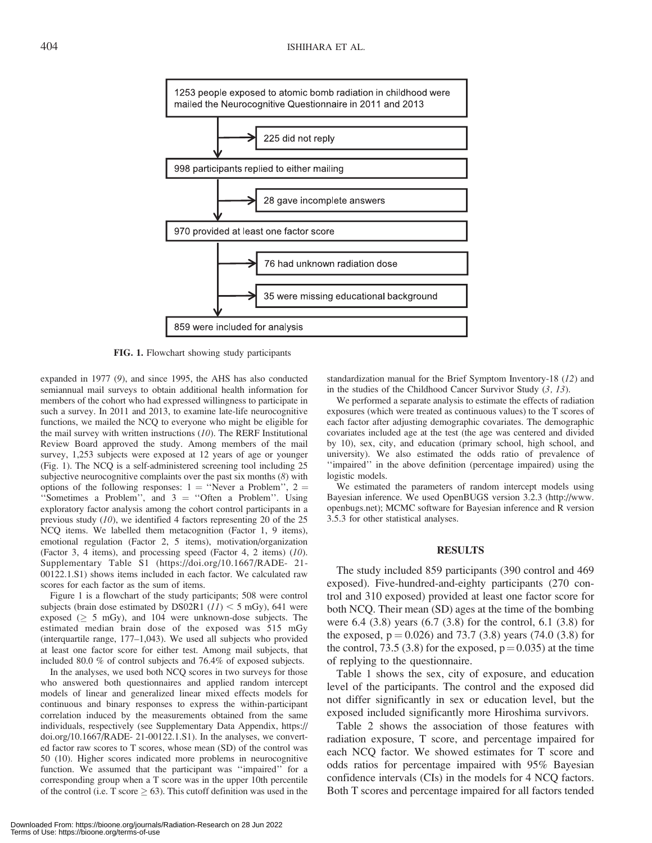

FIG. 1. Flowchart showing study participants

expanded in 1977 (9), and since 1995, the AHS has also conducted semiannual mail surveys to obtain additional health information for members of the cohort who had expressed willingness to participate in such a survey. In 2011 and 2013, to examine late-life neurocognitive functions, we mailed the NCQ to everyone who might be eligible for the mail survey with written instructions  $(10)$ . The RERF Institutional Review Board approved the study. Among members of the mail survey, 1,253 subjects were exposed at 12 years of age or younger (Fig. 1). The NCQ is a self-administered screening tool including 25 subjective neurocognitive complaints over the past six months (8) with options of the following responses:  $1 =$  "Never a Problem",  $2 =$ "Sometimes a Problem", and  $3 =$  "Often a Problem". Using exploratory factor analysis among the cohort control participants in a previous study  $(10)$ , we identified 4 factors representing 20 of the 25 NCQ items. We labelled them metacognition (Factor 1, 9 items), emotional regulation (Factor 2, 5 items), motivation/organization (Factor 3, 4 items), and processing speed (Factor 4, 2 items) (10). Supplementary Table S1 (https://doi.org/10.1667/RADE- 21- 00122.1.S1) shows items included in each factor. We calculated raw scores for each factor as the sum of items.

Figure 1 is a flowchart of the study participants; 508 were control subjects (brain dose estimated by DS02R1  $(11)$  < 5 mGy), 641 were exposed ( $\geq$  5 mGy), and 104 were unknown-dose subjects. The estimated median brain dose of the exposed was 515 mGy (interquartile range, 177–1,043). We used all subjects who provided at least one factor score for either test. Among mail subjects, that included 80.0 % of control subjects and 76.4% of exposed subjects.

In the analyses, we used both NCQ scores in two surveys for those who answered both questionnaires and applied random intercept models of linear and generalized linear mixed effects models for continuous and binary responses to express the within-participant correlation induced by the measurements obtained from the same individuals, respectively (see Supplementary Data Appendix, https:// doi.org/10.1667/RADE- 21-00122.1.S1). In the analyses, we converted factor raw scores to T scores, whose mean (SD) of the control was 50 (10). Higher scores indicated more problems in neurocognitive function. We assumed that the participant was ''impaired'' for a corresponding group when a T score was in the upper 10th percentile of the control (i.e. T score  $\geq 63$ ). This cutoff definition was used in the

standardization manual for the Brief Symptom Inventory-18 (12) and in the studies of the Childhood Cancer Survivor Study (3, 13).

We performed a separate analysis to estimate the effects of radiation exposures (which were treated as continuous values) to the T scores of each factor after adjusting demographic covariates. The demographic covariates included age at the test (the age was centered and divided by 10), sex, city, and education (primary school, high school, and university). We also estimated the odds ratio of prevalence of ''impaired'' in the above definition (percentage impaired) using the logistic models.

We estimated the parameters of random intercept models using Bayesian inference. We used OpenBUGS version 3.2.3 (http://www. openbugs.net); MCMC software for Bayesian inference and R version 3.5.3 for other statistical analyses.

#### RESULTS

The study included 859 participants (390 control and 469 exposed). Five-hundred-and-eighty participants (270 control and 310 exposed) provided at least one factor score for both NCQ. Their mean (SD) ages at the time of the bombing were 6.4 (3.8) years (6.7 (3.8) for the control, 6.1 (3.8) for the exposed,  $p = 0.026$ ) and 73.7 (3.8) years (74.0 (3.8) for the control, 73.5 (3.8) for the exposed,  $p = 0.035$ ) at the time of replying to the questionnaire.

Table 1 shows the sex, city of exposure, and education level of the participants. The control and the exposed did not differ significantly in sex or education level, but the exposed included significantly more Hiroshima survivors.

Table 2 shows the association of those features with radiation exposure, T score, and percentage impaired for each NCQ factor. We showed estimates for T score and odds ratios for percentage impaired with 95% Bayesian confidence intervals (CIs) in the models for 4 NCQ factors. Both T scores and percentage impaired for all factors tended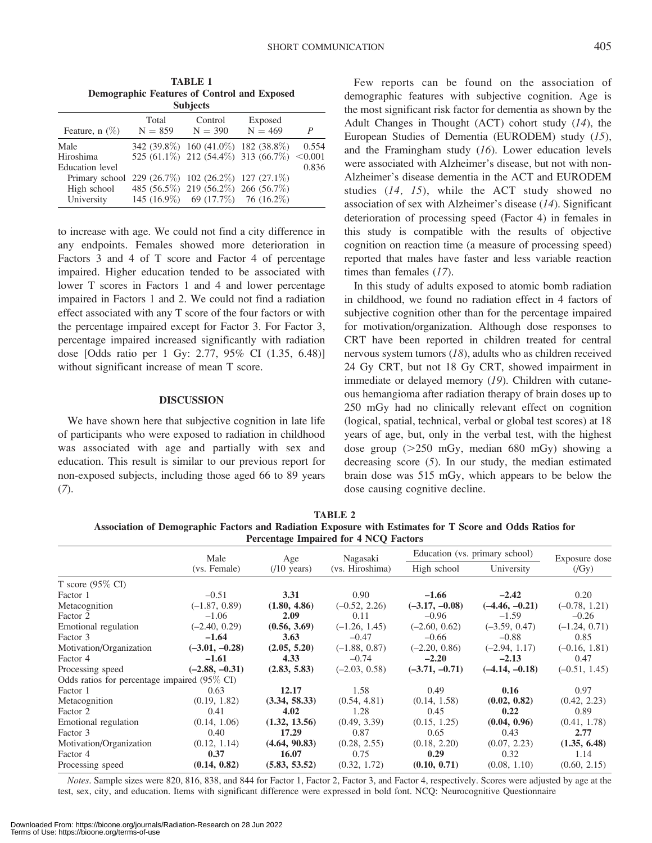Downloaded From: https://bioone.org/journals/Radiation-Research on 28 Jun 2022 Terms of Use: https://bioone.org/terms-of-use

to increase with age. We could not find a city difference in any endpoints. Females showed more deterioration in Factors 3 and 4 of T score and Factor 4 of percentage impaired. Higher education tended to be associated with lower T scores in Factors 1 and 4 and lower percentage impaired in Factors 1 and 2. We could not find a radiation effect associated with any T score of the four factors or with the percentage impaired except for Factor 3. For Factor 3, percentage impaired increased significantly with radiation dose [Odds ratio per 1 Gy: 2.77, 95% CI (1.35, 6.48)] without significant increase of mean T score.

#### DISCUSSION

We have shown here that subjective cognition in late life of participants who were exposed to radiation in childhood was associated with age and partially with sex and education. This result is similar to our previous report for non-exposed subjects, including those aged 66 to 89 years  $(7).$ 

Few reports can be found on the association of demographic features with subjective cognition. Age is the most significant risk factor for dementia as shown by the Adult Changes in Thought (ACT) cohort study (14), the European Studies of Dementia (EURODEM) study (15), and the Framingham study (16). Lower education levels were associated with Alzheimer's disease, but not with non-Alzheimer's disease dementia in the ACT and EURODEM studies (14, 15), while the ACT study showed no association of sex with Alzheimer's disease (14). Significant deterioration of processing speed (Factor 4) in females in this study is compatible with the results of objective cognition on reaction time (a measure of processing speed) reported that males have faster and less variable reaction times than females (17).

In this study of adults exposed to atomic bomb radiation in childhood, we found no radiation effect in 4 factors of subjective cognition other than for the percentage impaired for motivation/organization. Although dose responses to CRT have been reported in children treated for central nervous system tumors (18), adults who as children received 24 Gy CRT, but not 18 Gy CRT, showed impairment in immediate or delayed memory (19). Children with cutaneous hemangioma after radiation therapy of brain doses up to 250 mGy had no clinically relevant effect on cognition (logical, spatial, technical, verbal or global test scores) at 18 years of age, but, only in the verbal test, with the highest dose group  $(>=250 \text{ mGy})$ , median 680 mGy) showing a decreasing score (5). In our study, the median estimated brain dose was 515 mGy, which appears to be below the dose causing cognitive decline.

TABLE 2 Association of Demographic Factors and Radiation Exposure with Estimates for T Score and Odds Ratios for Percentage Impaired for 4 NCQ Factors

|                                                         | Male<br>(vs. Female) | Age<br>$(10 \text{ years})$ | Nagasaki<br>(vs. Hiroshima) | Education (vs. primary school) |                  | Exposure dose   |
|---------------------------------------------------------|----------------------|-----------------------------|-----------------------------|--------------------------------|------------------|-----------------|
|                                                         |                      |                             |                             | High school                    | University       | $(\sqrt{Gy})$   |
| T score $(95\% \text{ CI})$                             |                      |                             |                             |                                |                  |                 |
| Factor 1                                                | $-0.51$              | 3.31                        | 0.90                        | $-1.66$                        | $-2.42$          | 0.20            |
| Metacognition                                           | $(-1.87, 0.89)$      | (1.80, 4.86)                | $(-0.52, 2.26)$             | $(-3.17, -0.08)$               | $(-4.46, -0.21)$ | $(-0.78, 1.21)$ |
| Factor 2                                                | $-1.06$              | 2.09                        | 0.11                        | $-0.96$                        | $-1.59$          | $-0.26$         |
| Emotional regulation                                    | $(-2.40, 0.29)$      | (0.56, 3.69)                | $(-1.26, 1.45)$             | $(-2.60, 0.62)$                | $(-3.59, 0.47)$  | $(-1.24, 0.71)$ |
| Factor 3                                                | $-1.64$              | 3.63                        | $-0.47$                     | $-0.66$                        | $-0.88$          | 0.85            |
| Motivation/Organization                                 | $(-3.01, -0.28)$     | (2.05, 5.20)                | $(-1.88, 0.87)$             | $(-2.20, 0.86)$                | $(-2.94, 1.17)$  | $(-0.16, 1.81)$ |
| Factor 4                                                | $-1.61$              | 4.33                        | $-0.74$                     | $-2.20$                        | $-2.13$          | 0.47            |
| Processing speed                                        | $(-2.88, -0.31)$     | (2.83, 5.83)                | $(-2.03, 0.58)$             | $(-3.71, -0.71)$               | $(-4.14, -0.18)$ | $(-0.51, 1.45)$ |
| Odds ratios for percentage impaired $(95\% \text{ CI})$ |                      |                             |                             |                                |                  |                 |
| Factor 1                                                | 0.63                 | 12.17                       | 1.58                        | 0.49                           | 0.16             | 0.97            |
| Metacognition                                           | (0.19, 1.82)         | (3.34, 58.33)               | (0.54, 4.81)                | (0.14, 1.58)                   | (0.02, 0.82)     | (0.42, 2.23)    |
| Factor 2                                                | 0.41                 | 4.02                        | 1.28                        | 0.45                           | 0.22             | 0.89            |
| Emotional regulation                                    | (0.14, 1.06)         | (1.32, 13.56)               | (0.49, 3.39)                | (0.15, 1.25)                   | (0.04, 0.96)     | (0.41, 1.78)    |
| Factor 3                                                | 0.40                 | 17.29                       | 0.87                        | 0.65                           | 0.43             | 2.77            |
| Motivation/Organization                                 | (0.12, 1.14)         | (4.64, 90.83)               | (0.28, 2.55)                | (0.18, 2.20)                   | (0.07, 2.23)     | (1.35, 6.48)    |
| Factor 4                                                | 0.37                 | 16.07                       | 0.75                        | 0.29                           | 0.32             | 1.14            |
| Processing speed                                        | (0.14, 0.82)         | (5.83, 53.52)               | (0.32, 1.72)                | (0.10, 0.71)                   | (0.08, 1.10)     | (0.60, 2.15)    |

Notes. Sample sizes were 820, 816, 838, and 844 for Factor 1, Factor 2, Factor 3, and Factor 4, respectively. Scores were adjusted by age at the test, sex, city, and education. Items with significant difference were expressed in bold font. NCQ: Neurocognitive Questionnaire

| <b>Subjects</b>  |                    |                                        |                                            |       |  |  |  |  |
|------------------|--------------------|----------------------------------------|--------------------------------------------|-------|--|--|--|--|
| Feature, $n$ (%) | Total<br>$N = 859$ | Control<br>$N = 390$                   | Exposed<br>$N = 469$                       | P     |  |  |  |  |
| Male             |                    | 342 (39.8%) 160 (41.0%) 182 (38.8%)    |                                            | 0.554 |  |  |  |  |
| Hiroshima        |                    |                                        | 525 (61.1%) 212 (54.4%) 313 (66.7%) <0.001 |       |  |  |  |  |
| Education level  |                    |                                        |                                            | 0.836 |  |  |  |  |
| Primary school   |                    | 229 (26.7\%) 102 (26.2\%) 127 (27.1\%) |                                            |       |  |  |  |  |
| High school      |                    | 485 (56.5%) 219 (56.2%) 266 (56.7%)    |                                            |       |  |  |  |  |
| University       |                    | 145 (16.9%) 69 (17.7%) 76 (16.2%)      |                                            |       |  |  |  |  |

TABLE 1 Demographic Features of Control and Exposed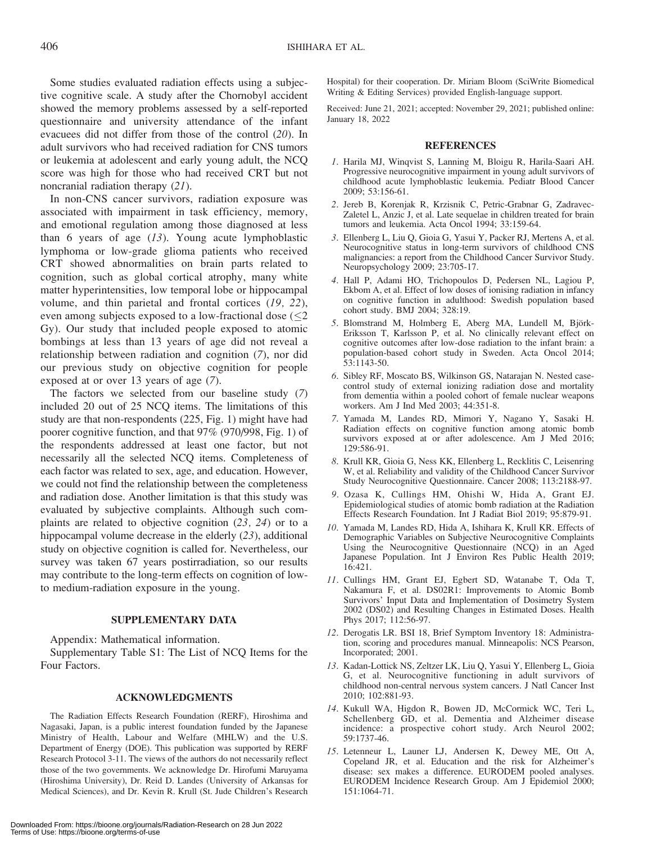Some studies evaluated radiation effects using a subjective cognitive scale. A study after the Chornobyl accident showed the memory problems assessed by a self-reported questionnaire and university attendance of the infant evacuees did not differ from those of the control (20). In adult survivors who had received radiation for CNS tumors or leukemia at adolescent and early young adult, the NCQ score was high for those who had received CRT but not noncranial radiation therapy (21).

In non-CNS cancer survivors, radiation exposure was associated with impairment in task efficiency, memory, and emotional regulation among those diagnosed at less than 6 years of age  $(13)$ . Young acute lymphoblastic lymphoma or low-grade glioma patients who received CRT showed abnormalities on brain parts related to cognition, such as global cortical atrophy, many white matter hyperintensities, low temporal lobe or hippocampal volume, and thin parietal and frontal cortices (19, 22), even among subjects exposed to a low-fractional dose  $(\leq 2)$ Gy). Our study that included people exposed to atomic bombings at less than 13 years of age did not reveal a relationship between radiation and cognition (7), nor did our previous study on objective cognition for people exposed at or over 13 years of age (7).

The factors we selected from our baseline study (7) included 20 out of 25 NCQ items. The limitations of this study are that non-respondents (225, Fig. 1) might have had poorer cognitive function, and that 97% (970/998, Fig. 1) of the respondents addressed at least one factor, but not necessarily all the selected NCQ items. Completeness of each factor was related to sex, age, and education. However, we could not find the relationship between the completeness and radiation dose. Another limitation is that this study was evaluated by subjective complaints. Although such complaints are related to objective cognition (23, 24) or to a hippocampal volume decrease in the elderly (23), additional study on objective cognition is called for. Nevertheless, our survey was taken 67 years postirradiation, so our results may contribute to the long-term effects on cognition of lowto medium-radiation exposure in the young.

#### SUPPLEMENTARY DATA

Appendix: Mathematical information.

Supplementary Table S1: The List of NCQ Items for the Four Factors.

#### ACKNOWLEDGMENTS

The Radiation Effects Research Foundation (RERF), Hiroshima and Nagasaki, Japan, is a public interest foundation funded by the Japanese Ministry of Health, Labour and Welfare (MHLW) and the U.S. Department of Energy (DOE). This publication was supported by RERF Research Protocol 3-11. The views of the authors do not necessarily reflect those of the two governments. We acknowledge Dr. Hirofumi Maruyama (Hiroshima University), Dr. Reid D. Landes (University of Arkansas for Medical Sciences), and Dr. Kevin R. Krull (St. Jude Children's Research

Received: June 21, 2021; accepted: November 29, 2021; published online: January 18, 2022

#### REFERENCES

- 1. Harila MJ, Winqvist S, Lanning M, Bloigu R, Harila-Saari AH. Progressive neurocognitive impairment in young adult survivors of childhood acute lymphoblastic leukemia. Pediatr Blood Cancer 2009; 53:156-61.
- 2. Jereb B, Korenjak R, Krzisnik C, Petric-Grabnar G, Zadravec-Zaletel L, Anzic J, et al. Late sequelae in children treated for brain tumors and leukemia. Acta Oncol 1994; 33:159-64.
- 3. Ellenberg L, Liu Q, Gioia G, Yasui Y, Packer RJ, Mertens A, et al. Neurocognitive status in long-term survivors of childhood CNS malignancies: a report from the Childhood Cancer Survivor Study. Neuropsychology 2009; 23:705-17.
- 4. Hall P, Adami HO, Trichopoulos D, Pedersen NL, Lagiou P, Ekbom A, et al. Effect of low doses of ionising radiation in infancy on cognitive function in adulthood: Swedish population based cohort study. BMJ 2004; 328:19.
- 5. Blomstrand M, Holmberg E, Aberg MA, Lundell M, Björk-Eriksson T, Karlsson P, et al. No clinically relevant effect on cognitive outcomes after low-dose radiation to the infant brain: a population-based cohort study in Sweden. Acta Oncol 2014; 53:1143-50.
- 6. Sibley RF, Moscato BS, Wilkinson GS, Natarajan N. Nested casecontrol study of external ionizing radiation dose and mortality from dementia within a pooled cohort of female nuclear weapons workers. Am J Ind Med 2003; 44:351-8.
- 7. Yamada M, Landes RD, Mimori Y, Nagano Y, Sasaki H. Radiation effects on cognitive function among atomic bomb survivors exposed at or after adolescence. Am J Med 2016; 129:586-91.
- 8. Krull KR, Gioia G, Ness KK, Ellenberg L, Recklitis C, Leisenring W, et al. Reliability and validity of the Childhood Cancer Survivor Study Neurocognitive Questionnaire. Cancer 2008; 113:2188-97.
- 9. Ozasa K, Cullings HM, Ohishi W, Hida A, Grant EJ. Epidemiological studies of atomic bomb radiation at the Radiation Effects Research Foundation. Int J Radiat Biol 2019; 95:879-91.
- 10. Yamada M, Landes RD, Hida A, Ishihara K, Krull KR. Effects of Demographic Variables on Subjective Neurocognitive Complaints Using the Neurocognitive Questionnaire (NCQ) in an Aged Japanese Population. Int J Environ Res Public Health 2019; 16:421.
- 11. Cullings HM, Grant EJ, Egbert SD, Watanabe T, Oda T, Nakamura F, et al. DS02R1: Improvements to Atomic Bomb Survivors' Input Data and Implementation of Dosimetry System 2002 (DS02) and Resulting Changes in Estimated Doses. Health Phys 2017; 112:56-97.
- 12. Derogatis LR. BSI 18, Brief Symptom Inventory 18: Administration, scoring and procedures manual. Minneapolis: NCS Pearson, Incorporated; 2001.
- 13. Kadan-Lottick NS, Zeltzer LK, Liu Q, Yasui Y, Ellenberg L, Gioia G, et al. Neurocognitive functioning in adult survivors of childhood non-central nervous system cancers. J Natl Cancer Inst 2010; 102:881-93.
- 14. Kukull WA, Higdon R, Bowen JD, McCormick WC, Teri L, Schellenberg GD, et al. Dementia and Alzheimer disease incidence: a prospective cohort study. Arch Neurol 2002; 59:1737-46.
- 15. Letenneur L, Launer LJ, Andersen K, Dewey ME, Ott A, Copeland JR, et al. Education and the risk for Alzheimer's disease: sex makes a difference. EURODEM pooled analyses. EURODEM Incidence Research Group. Am J Epidemiol 2000; 151:1064-71.